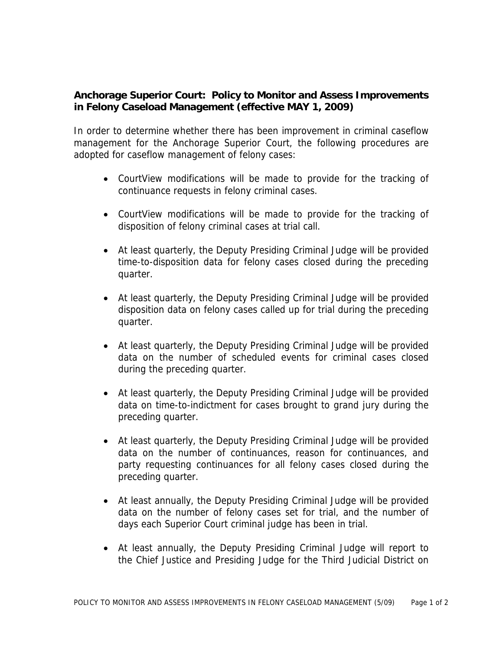## **Anchorage Superior Court: Policy to Monitor and Assess Improvements in Felony Caseload Management (effective MAY 1, 2009)**

In order to determine whether there has been improvement in criminal caseflow management for the Anchorage Superior Court, the following procedures are adopted for caseflow management of felony cases:

- CourtView modifications will be made to provide for the tracking of continuance requests in felony criminal cases.
- CourtView modifications will be made to provide for the tracking of disposition of felony criminal cases at trial call.
- At least quarterly, the Deputy Presiding Criminal Judge will be provided time-to-disposition data for felony cases closed during the preceding quarter.
- At least quarterly, the Deputy Presiding Criminal Judge will be provided disposition data on felony cases called up for trial during the preceding quarter.
- At least quarterly, the Deputy Presiding Criminal Judge will be provided data on the number of scheduled events for criminal cases closed during the preceding quarter.
- At least quarterly, the Deputy Presiding Criminal Judge will be provided data on time-to-indictment for cases brought to grand jury during the preceding quarter.
- At least quarterly, the Deputy Presiding Criminal Judge will be provided data on the number of continuances, reason for continuances, and party requesting continuances for all felony cases closed during the preceding quarter.
- At least annually, the Deputy Presiding Criminal Judge will be provided data on the number of felony cases set for trial, and the number of days each Superior Court criminal judge has been in trial.
- At least annually, the Deputy Presiding Criminal Judge will report to the Chief Justice and Presiding Judge for the Third Judicial District on